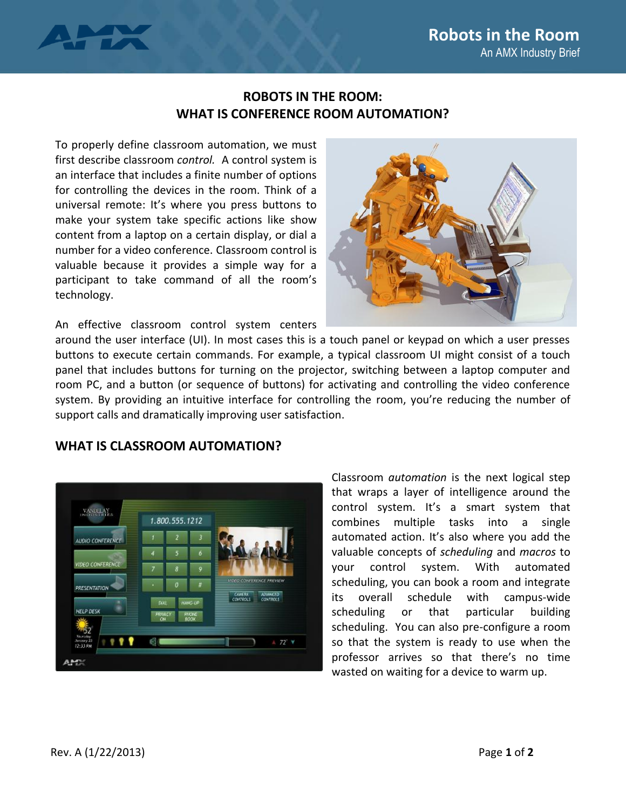

## **ROBOTS IN THE ROOM: WHAT IS CONFERENCE ROOM AUTOMATION?**

To properly define classroom automation, we must first describe classroom *control.* A control system is an interface that includes a finite number of options for controlling the devices in the room. Think of a universal remote: It's where you press buttons to make your system take specific actions like show content from a laptop on a certain display, or dial a number for a video conference. Classroom control is valuable because it provides a simple way for a participant to take command of all the room's technology.



An effective classroom control system centers

around the user interface (UI). In most cases this is a touch panel or keypad on which a user presses buttons to execute certain commands. For example, a typical classroom UI might consist of a touch panel that includes buttons for turning on the projector, switching between a laptop computer and room PC, and a button (or sequence of buttons) for activating and controlling the video conference system. By providing an intuitive interface for controlling the room, you're reducing the number of support calls and dramatically improving user satisfaction.

## **WHAT IS CLASSROOM AUTOMATION?**



Classroom *automation* is the next logical step that wraps a layer of intelligence around the control system. It's a smart system that combines multiple tasks into a single automated action. It's also where you add the valuable concepts of *scheduling* and *macros* to your control system. With automated scheduling, you can book a room and integrate its overall schedule with campus-wide scheduling or that particular building scheduling. You can also pre-configure a room so that the system is ready to use when the professor arrives so that there's no time wasted on waiting for a device to warm up.